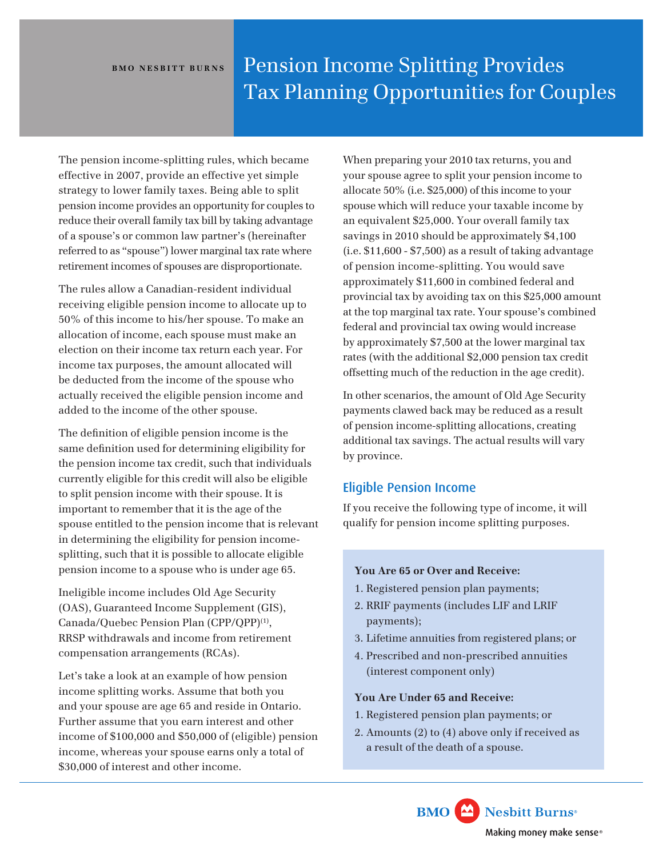# **BMO NESBITT BURNS** Pension Income Splitting Provides Tax Planning Opportunities for Couples

The pension income-splitting rules, which became effective in 2007, provide an effective yet simple strategy to lower family taxes. Being able to split pension income provides an opportunity for couples to reduce their overall family tax bill by taking advantage of a spouse's or common law partner's (hereinafter referred to as "spouse") lower marginal tax rate where retirement incomes of spouses are disproportionate.

The rules allow a Canadian-resident individual receiving eligible pension income to allocate up to 50% of this income to his/her spouse. To make an allocation of income, each spouse must make an election on their income tax return each year. For income tax purposes, the amount allocated will be deducted from the income of the spouse who actually received the eligible pension income and added to the income of the other spouse.

The definition of eligible pension income is the same definition used for determining eligibility for the pension income tax credit, such that individuals currently eligible for this credit will also be eligible to split pension income with their spouse. It is important to remember that it is the age of the spouse entitled to the pension income that is relevant in determining the eligibility for pension incomesplitting, such that it is possible to allocate eligible pension income to a spouse who is under age 65.

Ineligible income includes Old Age Security (OAS), Guaranteed Income Supplement (GIS), Canada/Quebec Pension Plan (CPP/QPP)(1), RRSP withdrawals and income from retirement compensation arrangements (RCAs).

Let's take a look at an example of how pension income splitting works. Assume that both you and your spouse are age 65 and reside in Ontario. Further assume that you earn interest and other income of \$100,000 and \$50,000 of (eligible) pension income, whereas your spouse earns only a total of \$30,000 of interest and other income.

When preparing your 2010 tax returns, you and your spouse agree to split your pension income to allocate 50% (i.e. \$25,000) of this income to your spouse which will reduce your taxable income by an equivalent \$25,000. Your overall family tax savings in 2010 should be approximately \$4,100 (i.e. \$11,600 - \$7,500) as a result of taking advantage of pension income-splitting. You would save approximately \$11,600 in combined federal and provincial tax by avoiding tax on this \$25,000 amount at the top marginal tax rate. Your spouse's combined federal and provincial tax owing would increase by approximately \$7,500 at the lower marginal tax rates (with the additional \$2,000 pension tax credit offsetting much of the reduction in the age credit).

In other scenarios, the amount of Old Age Security payments clawed back may be reduced as a result of pension income-splitting allocations, creating additional tax savings. The actual results will vary by province.

# Eligible Pension Income

If you receive the following type of income, it will qualify for pension income splitting purposes.

# **You Are 65 or Over and Receive:**

- 1. Registered pension plan payments;
- 2. RRIF payments (includes LIF and LRIF payments);
- 3. Lifetime annuities from registered plans; or
- 4. Prescribed and non-prescribed annuities (interest component only)

# **You Are Under 65 and Receive:**

- 1. Registered pension plan payments; or
- 2. Amounts (2) to (4) above only if received as a result of the death of a spouse.

**BMO** Nesbitt Burns<sup>®</sup> Making money make sense®